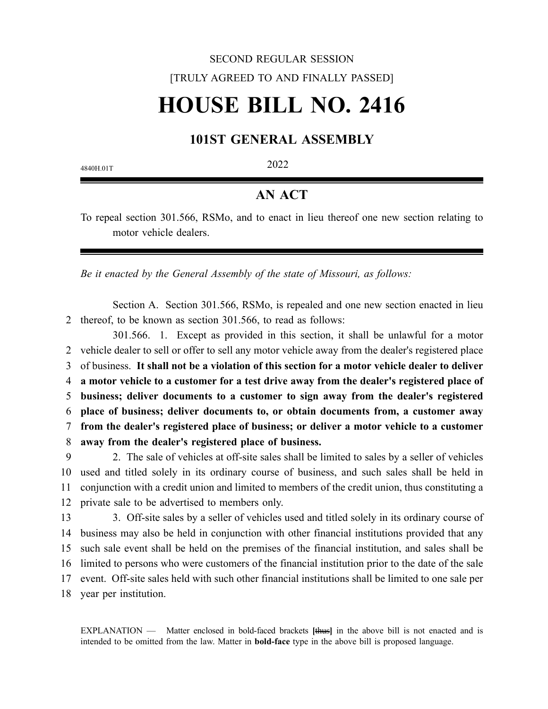# SECOND REGULAR SESSION [TRULY AGREED TO AND FINALLY PASSED] **HOUSE BILL NO. 2416**

## **101ST GENERAL ASSEMBLY**

4840H.01T 2022

## **AN ACT**

To repeal section 301.566, RSMo, and to enact in lieu thereof one new section relating to motor vehicle dealers.

*Be it enacted by the General Assembly of the state of Missouri, as follows:*

Section A. Section 301.566, RSMo, is repealed and one new section enacted in lieu 2 thereof, to be known as section 301.566, to read as follows:

301.566. 1. Except as provided in this section, it shall be unlawful for a motor 2 vehicle dealer to sell or offer to sell any motor vehicle away from the dealer's registered place 3 of business. **It shall not be a violation of this section for a motor vehicle dealer to deliver a motor vehicle to a customer for a test drive away from the dealer's registered place of business; deliver documents to a customer to sign away from the dealer's registered place of business; deliver documents to, or obtain documents from, a customer away from the dealer's registered place of business; or deliver a motor vehicle to a customer away from the dealer's registered place of business.**

9 2. The sale of vehicles at off-site sales shall be limited to sales by a seller of vehicles 10 used and titled solely in its ordinary course of business, and such sales shall be held in 11 conjunction with a credit union and limited to members of the credit union, thus constituting a 12 private sale to be advertised to members only.

13 3. Off-site sales by a seller of vehicles used and titled solely in its ordinary course of 14 business may also be held in conjunction with other financial institutions provided that any 15 such sale event shall be held on the premises of the financial institution, and sales shall be 16 limited to persons who were customers of the financial institution prior to the date of the sale 17 event. Off-site sales held with such other financial institutions shall be limited to one sale per 18 year per institution.

EXPLANATION — Matter enclosed in bold-faced brackets **[**thus**]** in the above bill is not enacted and is intended to be omitted from the law. Matter in **bold-face** type in the above bill is proposed language.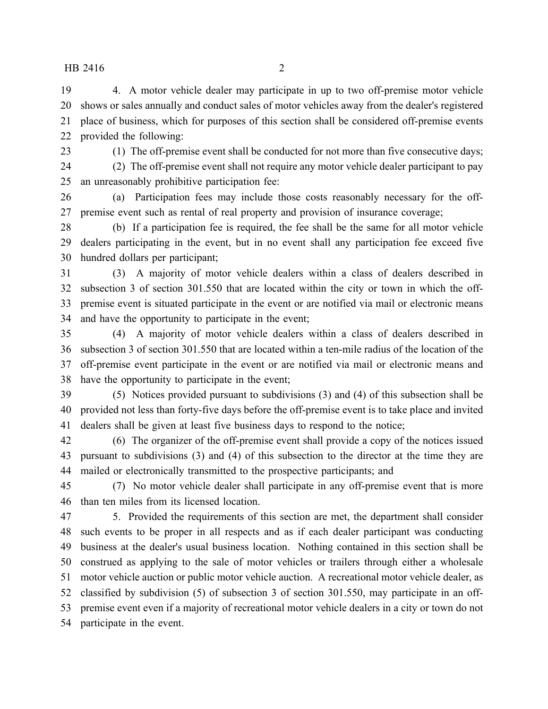### HB 2416 2

 4. A motor vehicle dealer may participate in up to two off-premise motor vehicle shows or sales annually and conduct sales of motor vehicles away from the dealer's registered place of business, which for purposes of this section shall be considered off-premise events provided the following:

(1) The off-premise event shall be conducted for not more than five consecutive days;

 (2) The off-premise event shall not require any motor vehicle dealer participant to pay an unreasonably prohibitive participation fee:

 (a) Participation fees may include those costs reasonably necessary for the off-premise event such as rental of real property and provision of insurance coverage;

 (b) If a participation fee is required, the fee shall be the same for all motor vehicle dealers participating in the event, but in no event shall any participation fee exceed five hundred dollars per participant;

 (3) A majority of motor vehicle dealers within a class of dealers described in subsection 3 of section 301.550 that are located within the city or town in which the off- premise event is situated participate in the event or are notified via mail or electronic means and have the opportunity to participate in the event;

 (4) A majority of motor vehicle dealers within a class of dealers described in subsection 3 of section 301.550 that are located within a ten-mile radius of the location of the off-premise event participate in the event or are notified via mail or electronic means and have the opportunity to participate in the event;

 (5) Notices provided pursuant to subdivisions (3) and (4) of this subsection shall be provided not less than forty-five days before the off-premise event is to take place and invited dealers shall be given at least five business days to respond to the notice;

 (6) The organizer of the off-premise event shall provide a copy of the notices issued pursuant to subdivisions (3) and (4) of this subsection to the director at the time they are mailed or electronically transmitted to the prospective participants; and

 (7) No motor vehicle dealer shall participate in any off-premise event that is more than ten miles from its licensed location.

 5. Provided the requirements of this section are met, the department shall consider such events to be proper in all respects and as if each dealer participant was conducting business at the dealer's usual business location. Nothing contained in this section shall be construed as applying to the sale of motor vehicles or trailers through either a wholesale motor vehicle auction or public motor vehicle auction. A recreational motor vehicle dealer, as classified by subdivision (5) of subsection 3 of section 301.550, may participate in an off- premise event even if a majority of recreational motor vehicle dealers in a city or town do not participate in the event.